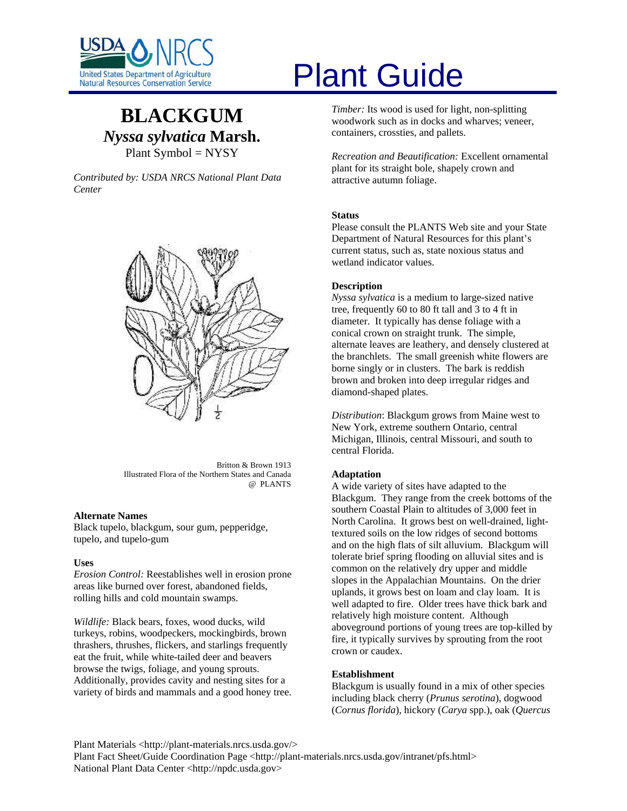

# **BLACKGUM** *Nyssa sylvatica* **Marsh.**  Plant Symbol = NYSY

*Contributed by: USDA NRCS National Plant Data Center* 



Britton & Brown 1913 Illustrated Flora of the Northern States and Canada @ PLANTS

# **Alternate Names**

Black tupelo, blackgum, sour gum, pepperidge, tupelo, and tupelo-gum

#### **Uses**

*Erosion Control:* Reestablishes well in erosion prone areas like burned over forest, abandoned fields, rolling hills and cold mountain swamps.

*Wildlife:* Black bears, foxes, wood ducks, wild turkeys, robins, woodpeckers, mockingbirds, brown thrashers, thrushes, flickers, and starlings frequently eat the fruit, while white-tailed deer and beavers browse the twigs, foliage, and young sprouts. Additionally, provides cavity and nesting sites for a variety of birds and mammals and a good honey tree.

# Plant Guide

*Timber:* Its wood is used for light, non-splitting woodwork such as in docks and wharves; veneer, containers, crossties, and pallets.

*Recreation and Beautification:* Excellent ornamental plant for its straight bole, shapely crown and attractive autumn foliage.

#### **Status**

Please consult the PLANTS Web site and your State Department of Natural Resources for this plant's current status, such as, state noxious status and wetland indicator values.

#### **Description**

*Nyssa sylvatica* is a medium to large-sized native tree, frequently 60 to 80 ft tall and 3 to 4 ft in diameter. It typically has dense foliage with a conical crown on straight trunk. The simple, alternate leaves are leathery, and densely clustered at the branchlets. The small greenish white flowers are borne singly or in clusters. The bark is reddish brown and broken into deep irregular ridges and diamond-shaped plates.

*Distribution*: Blackgum grows from Maine west to New York, extreme southern Ontario, central Michigan, Illinois, central Missouri, and south to central Florida.

# **Adaptation**

A wide variety of sites have adapted to the Blackgum. They range from the creek bottoms of the southern Coastal Plain to altitudes of 3,000 feet in North Carolina. It grows best on well-drained, lighttextured soils on the low ridges of second bottoms and on the high flats of silt alluvium. Blackgum will tolerate brief spring flooding on alluvial sites and is common on the relatively dry upper and middle slopes in the Appalachian Mountains. On the drier uplands, it grows best on loam and clay loam. It is well adapted to fire. Older trees have thick bark and relatively high moisture content. Although aboveground portions of young trees are top-killed by fire, it typically survives by sprouting from the root crown or caudex.

## **Establishment**

Blackgum is usually found in a mix of other species including black cherry (*Prunus serotina*), dogwood (*Cornus florida*), hickory (*Carya* spp.), oak (*Quercus* 

Plant Materials <http://plant-materials.nrcs.usda.gov/> Plant Fact Sheet/Guide Coordination Page <http://plant-materials.nrcs.usda.gov/intranet/pfs.html> National Plant Data Center <http://npdc.usda.gov>